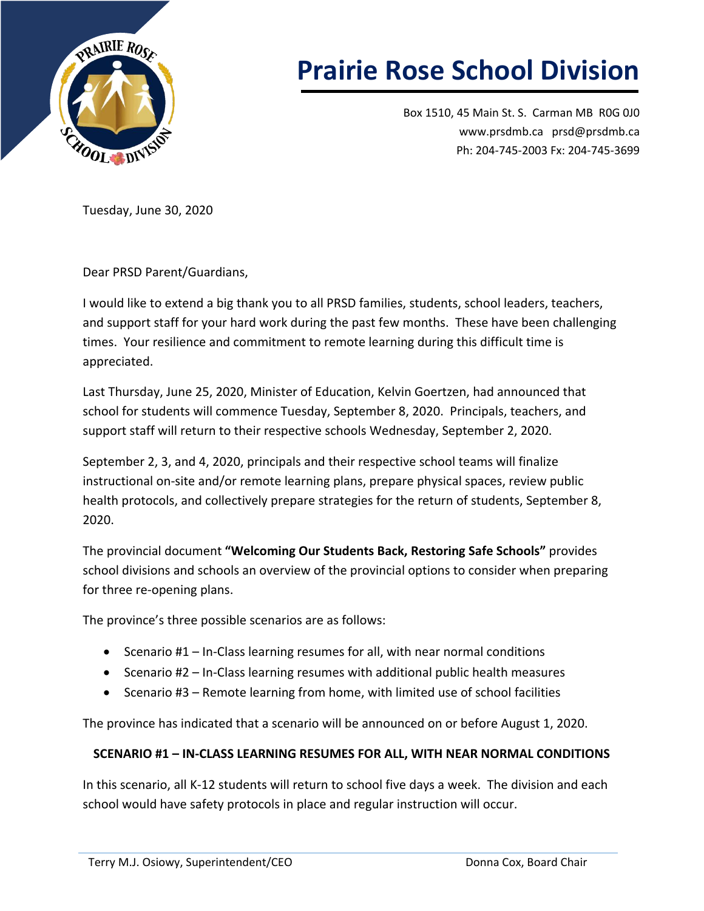

## **Prairie Rose School Division**

Box 1510, 45 Main St. S. Carman MB R0G 0J0 [www.prsdmb.ca](http://www.prsdmb.ca/) [prsd@prsdmb.ca](mailto:prsd@prsdmb.ca) Ph: 204-745-2003 Fx: 204-745-3699

Tuesday, June 30, 2020

Dear PRSD Parent/Guardians,

I would like to extend a big thank you to all PRSD families, students, school leaders, teachers, and support staff for your hard work during the past few months. These have been challenging times. Your resilience and commitment to remote learning during this difficult time is appreciated.

Last Thursday, June 25, 2020, Minister of Education, Kelvin Goertzen, had announced that school for students will commence Tuesday, September 8, 2020. Principals, teachers, and support staff will return to their respective schools Wednesday, September 2, 2020.

September 2, 3, and 4, 2020, principals and their respective school teams will finalize instructional on-site and/or remote learning plans, prepare physical spaces, review public health protocols, and collectively prepare strategies for the return of students, September 8, 2020.

The provincial document **"[Welcoming Our Students Back, Restoring Safe Schools](http://www.prsdmb.ca/wp-content/uploads/2020/06/K-12_ReOpeningPlan_0625-FINAL.pdf)"** provides school divisions and schools an overview of the provincial options to consider when preparing for three re-opening plans.

The province's three possible scenarios are as follows:

- Scenario #1 In-Class learning resumes for all, with near normal conditions
- Scenario #2 In-Class learning resumes with additional public health measures
- Scenario #3 Remote learning from home, with limited use of school facilities

The province has indicated that a scenario will be announced on or before August 1, 2020.

## **SCENARIO #1 – IN-CLASS LEARNING RESUMES FOR ALL, WITH NEAR NORMAL CONDITIONS**

In this scenario, all K-12 students will return to school five days a week. The division and each school would have safety protocols in place and regular instruction will occur.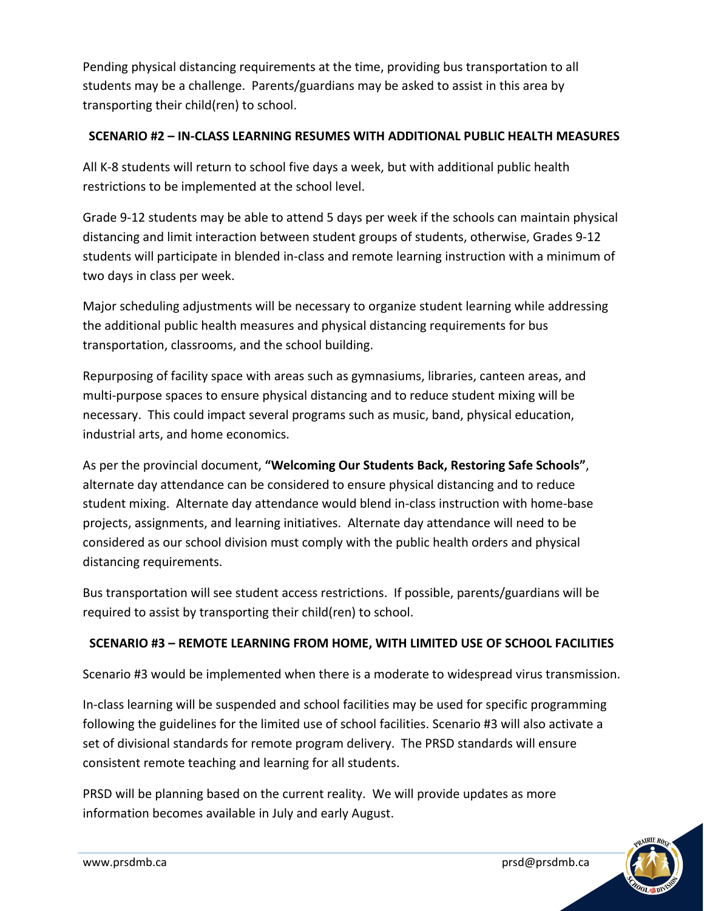Pending physical distancing requirements at the time, providing bus transportation to all students may be a challenge. Parents/guardians may be asked to assist in this area by transporting their child(ren) to school.

## **SCENARIO #2 – IN-CLASS LEARNING RESUMES WITH ADDITIONAL PUBLIC HEALTH MEASURES**

All K-8 students will return to school five days a week, but with additional public health restrictions to be implemented at the school level.

Grade 9-12 students may be able to attend 5 days per week if the schools can maintain physical distancing and limit interaction between student groups of students, otherwise, Grades 9-12 students will participate in blended in-class and remote learning instruction with a minimum of two days in class per week.

Major scheduling adjustments will be necessary to organize student learning while addressing the additional public health measures and physical distancing requirements for bus transportation, classrooms, and the school building.

Repurposing of facility space with areas such as gymnasiums, libraries, canteen areas, and multi-purpose spaces to ensure physical distancing and to reduce student mixing will be necessary. This could impact several programs such as music, band, physical education, industrial arts, and home economics.

As per the provincial document, **"[Welcoming Our Students Back, Restoring Safe Schools](http://www.prsdmb.ca/wp-content/uploads/2020/06/K-12_ReOpeningPlan_0625-FINAL.pdf)"**, alternate day attendance can be considered to ensure physical distancing and to reduce student mixing. Alternate day attendance would blend in-class instruction with home-base projects, assignments, and learning initiatives. Alternate day attendance will need to be considered as our school division must comply with the public health orders and physical distancing requirements.

Bus transportation will see student access restrictions. If possible, parents/guardians will be required to assist by transporting their child(ren) to school.

## **SCENARIO #3 – REMOTE LEARNING FROM HOME, WITH LIMITED USE OF SCHOOL FACILITIES**

Scenario #3 would be implemented when there is a moderate to widespread virus transmission.

In-class learning will be suspended and school facilities may be used for specific programming following the guidelines for the limited use of school facilities. Scenario #3 will also activate a set of divisional standards for remote program delivery. The PRSD standards will ensure consistent remote teaching and learning for all students.

PRSD will be planning based on the current reality. We will provide updates as more information becomes available in July and early August.